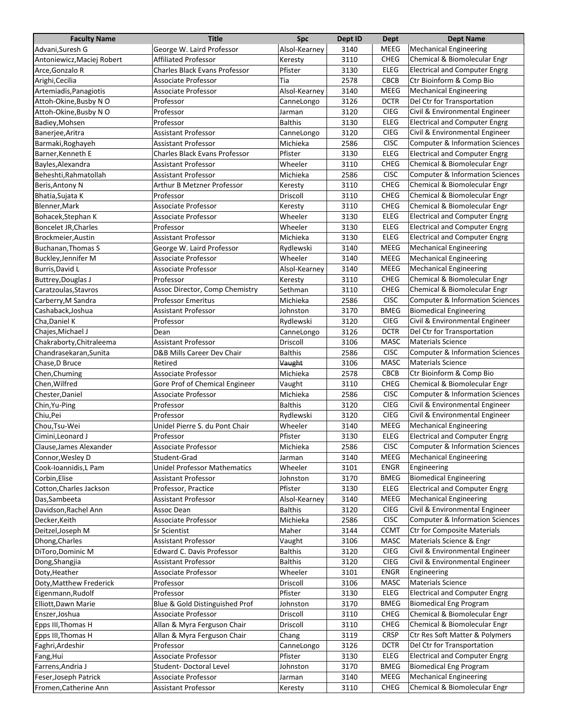| <b>Faculty Name</b>         | <b>Title</b>                         | Spc            | Dept ID | <b>Dept</b> | <b>Dept Name</b>                           |
|-----------------------------|--------------------------------------|----------------|---------|-------------|--------------------------------------------|
| Advani, Suresh G            | George W. Laird Professor            | Alsol-Kearney  | 3140    | MEEG        | Mechanical Engineering                     |
| Antoniewicz, Maciej Robert  | <b>Affiliated Professor</b>          | Keresty        | 3110    | <b>CHEG</b> | Chemical & Biomolecular Engr               |
| Arce, Gonzalo R             | <b>Charles Black Evans Professor</b> | Pfister        | 3130    | <b>ELEG</b> | <b>Electrical and Computer Engrg</b>       |
| Arighi, Cecilia             | Associate Professor                  | Tia            | 2578    | <b>CBCB</b> | Ctr Bioinform & Comp Bio                   |
| Artemiadis, Panagiotis      | Associate Professor                  | Alsol-Kearney  | 3140    | MEEG        | <b>Mechanical Engineering</b>              |
| Attoh-Okine, Busby NO       | Professor                            | CanneLongo     | 3126    | <b>DCTR</b> | Del Ctr for Transportation                 |
| Attoh-Okine, Busby N O      | Professor                            | Jarman         | 3120    | <b>CIEG</b> | Civil & Environmental Engineer             |
| Badiey, Mohsen              | Professor                            | <b>Balthis</b> | 3130    | <b>ELEG</b> | <b>Electrical and Computer Engrg</b>       |
| Banerjee, Aritra            | <b>Assistant Professor</b>           | CanneLongo     | 3120    | <b>CIEG</b> | Civil & Environmental Engineer             |
| Barmaki, Roghayeh           | <b>Assistant Professor</b>           | Michieka       | 2586    | <b>CISC</b> | <b>Computer &amp; Information Sciences</b> |
| Barner, Kenneth E           | <b>Charles Black Evans Professor</b> | Pfister        | 3130    | <b>ELEG</b> | <b>Electrical and Computer Engrg</b>       |
| Bayles, Alexandra           | <b>Assistant Professor</b>           | Wheeler        | 3110    | <b>CHEG</b> | Chemical & Biomolecular Engr               |
| Beheshti, Rahmatollah       | <b>Assistant Professor</b>           | Michieka       | 2586    | <b>CISC</b> | <b>Computer &amp; Information Sciences</b> |
| Beris, Antony N             | Arthur B Metzner Professor           | Keresty        | 3110    | <b>CHEG</b> | Chemical & Biomolecular Engr               |
| Bhatia, Sujata K            | Professor                            | Driscoll       | 3110    | <b>CHEG</b> | Chemical & Biomolecular Engr               |
| Blenner, Mark               | Associate Professor                  | Keresty        | 3110    | <b>CHEG</b> | Chemical & Biomolecular Engr               |
| Bohacek, Stephan K          | Associate Professor                  | Wheeler        | 3130    | <b>ELEG</b> | <b>Electrical and Computer Engrg</b>       |
| <b>Boncelet JR, Charles</b> | Professor                            | Wheeler        | 3130    | <b>ELEG</b> | <b>Electrical and Computer Engrg</b>       |
| Brockmeier, Austin          | <b>Assistant Professor</b>           | Michieka       | 3130    | <b>ELEG</b> | <b>Electrical and Computer Engrg</b>       |
| <b>Buchanan, Thomas S</b>   | George W. Laird Professor            | Rydlewski      | 3140    | <b>MEEG</b> | <b>Mechanical Engineering</b>              |
| Buckley, Jennifer M         | Associate Professor                  | Wheeler        | 3140    | <b>MEEG</b> | <b>Mechanical Engineering</b>              |
| Burris, David L             | Associate Professor                  | Alsol-Kearney  | 3140    | <b>MEEG</b> | <b>Mechanical Engineering</b>              |
| Buttrey, Douglas J          | Professor                            | Keresty        | 3110    | <b>CHEG</b> | Chemical & Biomolecular Engr               |
| Caratzoulas, Stavros        | Assoc Director, Comp Chemistry       | Sethman        | 3110    | <b>CHEG</b> | Chemical & Biomolecular Engr               |
| Carberry, M Sandra          | <b>Professor Emeritus</b>            | Michieka       | 2586    | <b>CISC</b> | <b>Computer &amp; Information Sciences</b> |
| Cashaback, Joshua           | <b>Assistant Professor</b>           | Johnston       | 3170    | <b>BMEG</b> | <b>Biomedical Engineering</b>              |
| Cha, Daniel K               | Professor                            | Rydlewski      | 3120    | <b>CIEG</b> | Civil & Environmental Engineer             |
| Chajes, Michael J           | Dean                                 | CanneLongo     | 3126    | <b>DCTR</b> | Del Ctr for Transportation                 |
| Chakraborty, Chitraleema    | Assistant Professor                  | Driscoll       | 3106    | <b>MASC</b> | <b>Materials Science</b>                   |
| Chandrasekaran, Sunita      | D&B Mills Career Dev Chair           | <b>Balthis</b> | 2586    | <b>CISC</b> | <b>Computer &amp; Information Sciences</b> |
| Chase, D Bruce              | Retired                              | Vaught         | 3106    | <b>MASC</b> | <b>Materials Science</b>                   |
| Chen, Chuming               | Associate Professor                  | Michieka       | 2578    | CBCB        | Ctr Bioinform & Comp Bio                   |
| Chen, Wilfred               | Gore Prof of Chemical Engineer       | Vaught         | 3110    | <b>CHEG</b> | Chemical & Biomolecular Engr               |
| Chester, Daniel             | Associate Professor                  | Michieka       | 2586    | <b>CISC</b> | <b>Computer &amp; Information Sciences</b> |
| Chin, Yu-Ping               | Professor                            | <b>Balthis</b> | 3120    | <b>CIEG</b> | Civil & Environmental Engineer             |
| Chiu, Pei                   | Professor                            | Rydlewski      | 3120    | <b>CIEG</b> | Civil & Environmental Engineer             |
| Chou, Tsu-Wei               | Unidel Pierre S. du Pont Chair       | Wheeler        | 3140    | MEEG        | <b>Mechanical Engineering</b>              |
| Cimini, Leonard J           | Professor                            | Pfister        | 3130    | <b>ELEG</b> | <b>Electrical and Computer Engrg</b>       |
| Clause, James Alexander     | Associate Professor                  | Michieka       | 2586    | CISC        | <b>Computer &amp; Information Sciences</b> |
| Connor, Wesley D            | Student-Grad                         | Jarman         | 3140    | MEEG        | <b>Mechanical Engineering</b>              |
| Cook-Ioannidis, L Pam       | <b>Unidel Professor Mathematics</b>  | Wheeler        | 3101    | ENGR        | Engineering                                |
| Corbin, Elise               | <b>Assistant Professor</b>           | Johnston       | 3170    | <b>BMEG</b> | <b>Biomedical Engineering</b>              |
| Cotton, Charles Jackson     | Professor, Practice                  | Pfister        | 3130    | ELEG        | <b>Electrical and Computer Engrg</b>       |
| Das, Sambeeta               | <b>Assistant Professor</b>           | Alsol-Kearney  | 3140    | MEEG        | <b>Mechanical Engineering</b>              |
| Davidson, Rachel Ann        | Assoc Dean                           | <b>Balthis</b> | 3120    | <b>CIEG</b> | Civil & Environmental Engineer             |
| Decker, Keith               | Associate Professor                  | Michieka       | 2586    | <b>CISC</b> | <b>Computer &amp; Information Sciences</b> |
| Deitzel, Joseph M           | Sr Scientist                         | Maher          | 3144    | <b>CCMT</b> | <b>Ctr for Composite Materials</b>         |
| Dhong, Charles              | <b>Assistant Professor</b>           | Vaught         | 3106    | MASC        | Materials Science & Engr                   |
| DiToro, Dominic M           | Edward C. Davis Professor            | <b>Balthis</b> | 3120    | <b>CIEG</b> | Civil & Environmental Engineer             |
| Dong, Shangjia              | <b>Assistant Professor</b>           | <b>Balthis</b> | 3120    | <b>CIEG</b> | Civil & Environmental Engineer             |
| Doty, Heather               | Associate Professor                  | Wheeler        | 3101    | <b>ENGR</b> | Engineering                                |
| Doty, Matthew Frederick     | Professor                            | Driscoll       | 3106    | MASC        | <b>Materials Science</b>                   |
| Eigenmann, Rudolf           | Professor                            | Pfister        | 3130    | ELEG        | <b>Electrical and Computer Engrg</b>       |
| Elliott, Dawn Marie         | Blue & Gold Distinguished Prof       | Johnston       | 3170    | <b>BMEG</b> | <b>Biomedical Eng Program</b>              |
| Enszer, Joshua              | Associate Professor                  | Driscoll       | 3110    | CHEG        | Chemical & Biomolecular Engr               |
| Epps III, Thomas H          | Allan & Myra Ferguson Chair          | Driscoll       | 3110    | <b>CHEG</b> | Chemical & Biomolecular Engr               |
| Epps III, Thomas H          | Allan & Myra Ferguson Chair          | Chang          | 3119    | <b>CRSP</b> | Ctr Res Soft Matter & Polymers             |
| Faghri, Ardeshir            | Professor                            | CanneLongo     | 3126    | <b>DCTR</b> | Del Ctr for Transportation                 |
| Fang, Hui                   | Associate Professor                  | Pfister        | 3130    | ELEG        | <b>Electrical and Computer Engrg</b>       |
| Farrens, Andria J           | Student-Doctoral Level               | Johnston       | 3170    | <b>BMEG</b> | <b>Biomedical Eng Program</b>              |
| Feser, Joseph Patrick       | Associate Professor                  | Jarman         | 3140    | MEEG        | <b>Mechanical Engineering</b>              |
| Fromen, Catherine Ann       | <b>Assistant Professor</b>           | Keresty        | 3110    | <b>CHEG</b> | Chemical & Biomolecular Engr               |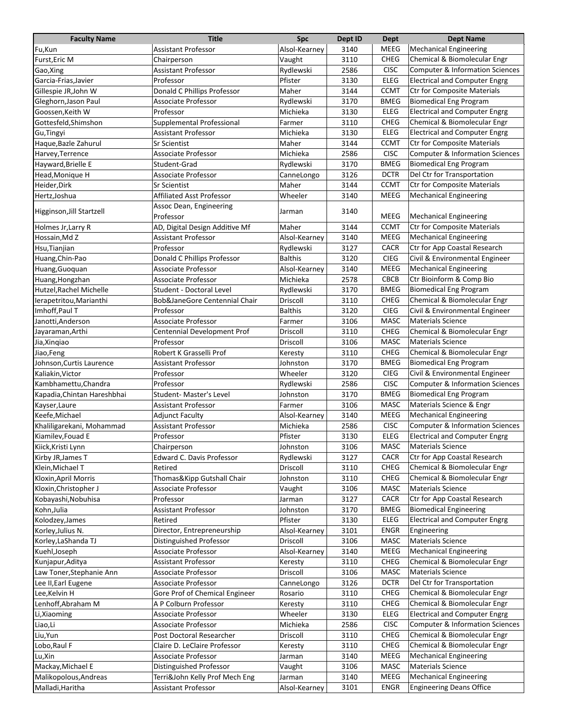| <b>Faculty Name</b>                           | <b>Title</b>                                      | <b>Spc</b>          | Dept ID      | Dept                | <b>Dept Name</b>                                                            |
|-----------------------------------------------|---------------------------------------------------|---------------------|--------------|---------------------|-----------------------------------------------------------------------------|
| Fu,Kun                                        | <b>Assistant Professor</b>                        | Alsol-Kearney       | 3140         | MEEG                | <b>Mechanical Engineering</b>                                               |
| Furst, Eric M                                 | Chairperson                                       | Vaught              | 3110         | CHEG                | Chemical & Biomolecular Engr                                                |
| Gao, Xing                                     | <b>Assistant Professor</b>                        | Rydlewski           | 2586         | <b>CISC</b>         | <b>Computer &amp; Information Sciences</b>                                  |
| Garcia-Frias, Javier                          | Professor                                         | Pfister             | 3130         | <b>ELEG</b>         | <b>Electrical and Computer Engrg</b>                                        |
| Gillespie JR, John W                          | Donald C Phillips Professor                       | Maher               | 3144         | <b>CCMT</b>         | Ctr for Composite Materials                                                 |
| Gleghorn, Jason Paul                          | Associate Professor                               | Rydlewski           | 3170         | <b>BMEG</b>         | <b>Biomedical Eng Program</b>                                               |
| Goossen, Keith W                              | Professor                                         | Michieka            | 3130         | ELEG                | <b>Electrical and Computer Engrg</b>                                        |
| Gottesfeld, Shimshon                          | Supplemental Professional                         | Farmer              | 3110         | <b>CHEG</b>         | Chemical & Biomolecular Engr                                                |
| Gu, Tingyi                                    | Assistant Professor                               | Michieka            | 3130         | ELEG                | <b>Electrical and Computer Engrg</b>                                        |
| Haque, Bazle Zahurul                          | <b>Sr Scientist</b>                               | Maher               | 3144         | <b>CCMT</b>         | <b>Ctr for Composite Materials</b>                                          |
| Harvey, Terrence                              | Associate Professor                               | Michieka            | 2586         | <b>CISC</b>         | <b>Computer &amp; Information Sciences</b>                                  |
| Hayward, Brielle E                            | Student-Grad                                      | Rydlewski           | 3170         | <b>BMEG</b>         | <b>Biomedical Eng Program</b>                                               |
| Head, Monique H                               | Associate Professor                               | CanneLongo          | 3126         | <b>DCTR</b>         | Del Ctr for Transportation                                                  |
| Heider, Dirk                                  | Sr Scientist                                      | Maher               | 3144         | <b>CCMT</b>         | <b>Ctr for Composite Materials</b>                                          |
| Hertz, Joshua                                 | <b>Affiliated Asst Professor</b>                  | Wheeler             | 3140         | <b>MEEG</b>         | <b>Mechanical Engineering</b>                                               |
| Higginson, Jill Startzell                     | Assoc Dean, Engineering                           | Jarman              | 3140         |                     |                                                                             |
|                                               | Professor                                         |                     |              | MEEG                | <b>Mechanical Engineering</b>                                               |
| Holmes Jr, Larry R                            | AD, Digital Design Additive Mf                    | Maher               | 3144         | <b>CCMT</b>         | <b>Ctr for Composite Materials</b>                                          |
| Hossain, Md Z                                 | Assistant Professor                               | Alsol-Kearney       | 3140         | <b>MEEG</b>         | <b>Mechanical Engineering</b>                                               |
| Hsu, Tianjian                                 | Professor                                         | Rydlewski           | 3127         | <b>CACR</b>         | Ctr for App Coastal Research                                                |
| Huang, Chin-Pao                               | Donald C Phillips Professor                       | <b>Balthis</b>      | 3120         | <b>CIEG</b>         | Civil & Environmental Engineer                                              |
| Huang, Guoquan                                | Associate Professor                               | Alsol-Kearney       | 3140         | MEEG                | <b>Mechanical Engineering</b>                                               |
| Huang, Hongzhan                               | <b>Associate Professor</b>                        | Michieka            | 2578         | <b>CBCB</b>         | Ctr Bioinform & Comp Bio                                                    |
| Hutzel, Rachel Michelle                       | Student - Doctoral Level                          | Rydlewski           | 3170         | <b>BMEG</b>         | <b>Biomedical Eng Program</b>                                               |
| lerapetritou, Marianthi                       | Bob&JaneGore Centennial Chair                     | Driscoll            | 3110         | CHEG                | Chemical & Biomolecular Engr                                                |
| Imhoff, Paul T                                | Professor                                         | <b>Balthis</b>      | 3120         | <b>CIEG</b>         | Civil & Environmental Engineer                                              |
| Janotti, Anderson                             | Associate Professor                               | Farmer              | 3106         | MASC                | <b>Materials Science</b>                                                    |
| Jayaraman, Arthi                              | Centennial Development Prof                       | Driscoll            | 3110         | CHEG                | Chemical & Biomolecular Engr                                                |
| Jia, Xinqiao                                  | Professor                                         | Driscoll            | 3106         | <b>MASC</b>         | <b>Materials Science</b>                                                    |
| Jiao, Feng                                    | Robert K Grasselli Prof                           | Keresty             | 3110         | CHEG                | Chemical & Biomolecular Engr                                                |
| Johnson, Curtis Laurence                      | <b>Assistant Professor</b>                        | Johnston            | 3170         | <b>BMEG</b>         | <b>Biomedical Eng Program</b>                                               |
| Kaliakin, Victor                              | Professor                                         | Wheeler             | 3120         | <b>CIEG</b>         | Civil & Environmental Engineer                                              |
| Kambhamettu, Chandra                          | Professor                                         | Rydlewski           | 2586         | <b>CISC</b>         | <b>Computer &amp; Information Sciences</b>                                  |
| Kapadia, Chintan Hareshbhai                   | Student-Master's Level                            | Johnston            | 3170         | <b>BMEG</b>         | <b>Biomedical Eng Program</b>                                               |
| Kayser, Laure                                 | <b>Assistant Professor</b>                        | Farmer              | 3106         | <b>MASC</b>         | Materials Science & Engr                                                    |
| Keefe.Michael                                 | <b>Adjunct Faculty</b>                            | Alsol-Kearney       | 3140         | MEEG<br><b>CISC</b> | <b>Mechanical Engineering</b><br><b>Computer &amp; Information Sciences</b> |
| Khaliligarekani, Mohammad                     | Assistant Professor                               | Michieka<br>Pfister | 2586         | <b>ELEG</b>         | <b>Electrical and Computer Engrg</b>                                        |
| Kiamilev, Fouad E<br>Kiick, Kristi Lynn       | Professor<br>Chairperson                          | Johnston            | 3130<br>3106 | MASC                | Materials Science                                                           |
|                                               | Edward C. Davis Professor                         |                     | 3127         | <b>CACR</b>         | Ctr for App Coastal Research                                                |
| Kirby JR, James T                             | Retired                                           | Rydlewski           |              |                     | Chemical & Biomolecular Engr                                                |
| Klein, Michael T                              |                                                   | Driscoll            | 3110         | <b>CHEG</b><br>CHEG |                                                                             |
| Kloxin, April Morris<br>Kloxin, Christopher J | Thomas&Kipp Gutshall Chair<br>Associate Professor | Johnston            | 3110<br>3106 | MASC                | Chemical & Biomolecular Engr<br><b>Materials Science</b>                    |
| Kobayashi, Nobuhisa                           | Professor                                         | Vaught<br>Jarman    | 3127         | CACR                | Ctr for App Coastal Research                                                |
| Kohn, Julia                                   | <b>Assistant Professor</b>                        | Johnston            | 3170         | <b>BMEG</b>         | <b>Biomedical Engineering</b>                                               |
| Kolodzey, James                               | Retired                                           | Pfister             | 3130         | <b>ELEG</b>         | <b>Electrical and Computer Engrg</b>                                        |
| Korley, Julius N.                             | Director, Entrepreneurship                        | Alsol-Kearney       | 3101         | ENGR                | Engineering                                                                 |
| Korley, LaShanda TJ                           | Distinguished Professor                           | Driscoll            | 3106         | MASC                | <b>Materials Science</b>                                                    |
| Kuehl, Joseph                                 | Associate Professor                               | Alsol-Kearney       | 3140         | MEEG                | <b>Mechanical Engineering</b>                                               |
| Kunjapur, Aditya                              | Assistant Professor                               | Keresty             | 3110         | <b>CHEG</b>         | Chemical & Biomolecular Engr                                                |
| Law Toner, Stephanie Ann                      | Associate Professor                               | Driscoll            | 3106         | MASC                | <b>Materials Science</b>                                                    |
| Lee II, Earl Eugene                           | Associate Professor                               | CanneLongo          | 3126         | <b>DCTR</b>         | Del Ctr for Transportation                                                  |
| Lee, Kelvin H                                 | Gore Prof of Chemical Engineer                    | Rosario             | 3110         | <b>CHEG</b>         | Chemical & Biomolecular Engr                                                |
| Lenhoff, Abraham M                            | A P Colburn Professor                             | Keresty             | 3110         | CHEG                | Chemical & Biomolecular Engr                                                |
| Li, Xiaoming                                  | Associate Professor                               | Wheeler             | 3130         | <b>ELEG</b>         | <b>Electrical and Computer Engrg</b>                                        |
| Liao, Li                                      | <b>Associate Professor</b>                        | Michieka            | 2586         | <b>CISC</b>         | <b>Computer &amp; Information Sciences</b>                                  |
| Liu, Yun                                      | Post Doctoral Researcher                          | Driscoll            | 3110         | CHEG                | Chemical & Biomolecular Engr                                                |
| Lobo, Raul F                                  | Claire D. LeClaire Professor                      | Keresty             | 3110         | CHEG                | Chemical & Biomolecular Engr                                                |
| Lu,Xin                                        | Associate Professor                               | Jarman              | 3140         | MEEG                | <b>Mechanical Engineering</b>                                               |
| Mackay, Michael E                             | Distinguished Professor                           | Vaught              | 3106         | MASC                | <b>Materials Science</b>                                                    |
| Malikopolous, Andreas                         | Terri&John Kelly Prof Mech Eng                    | Jarman              | 3140         | MEEG                | <b>Mechanical Engineering</b>                                               |
| Malladi, Haritha                              | Assistant Professor                               | Alsol-Kearney       | 3101         | ENGR                | <b>Engineering Deans Office</b>                                             |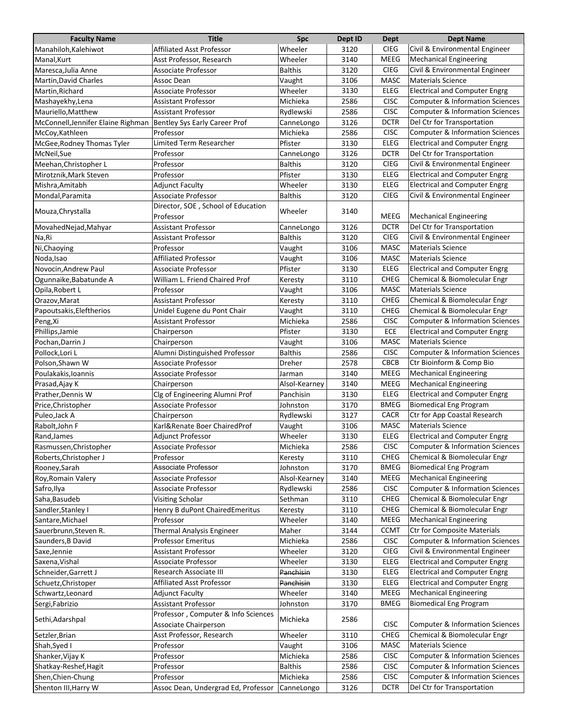| <b>Faculty Name</b>                | <b>Title</b>                        | <b>Spc</b>     | Dept ID | Dept        | <b>Dept Name</b>                           |
|------------------------------------|-------------------------------------|----------------|---------|-------------|--------------------------------------------|
| Manahiloh, Kalehiwot               | <b>Affiliated Asst Professor</b>    | Wheeler        | 3120    | <b>CIEG</b> | Civil & Environmental Engineer             |
| Manal, Kurt                        | Asst Professor, Research            | Wheeler        | 3140    | MEEG        | <b>Mechanical Engineering</b>              |
| Maresca, Julia Anne                | Associate Professor                 | <b>Balthis</b> | 3120    | <b>CIEG</b> | Civil & Environmental Engineer             |
| Martin, David Charles              | Assoc Dean                          | Vaught         | 3106    | <b>MASC</b> | <b>Materials Science</b>                   |
| Martin, Richard                    | Associate Professor                 | Wheeler        | 3130    | <b>ELEG</b> | <b>Electrical and Computer Engrg</b>       |
| Mashayekhy, Lena                   | <b>Assistant Professor</b>          | Michieka       | 2586    | <b>CISC</b> | <b>Computer &amp; Information Sciences</b> |
| Mauriello, Matthew                 | <b>Assistant Professor</b>          | Rydlewski      | 2586    | <b>CISC</b> | Computer & Information Sciences            |
| McConnell, Jennifer Elaine Righman | Bentley Sys Early Career Prof       | CanneLongo     | 3126    | DCTR        | Del Ctr for Transportation                 |
| McCoy, Kathleen                    | Professor                           | Michieka       | 2586    | <b>CISC</b> | Computer & Information Sciences            |
| McGee, Rodney Thomas Tyler         | Limited Term Researcher             | Pfister        | 3130    | <b>ELEG</b> | <b>Electrical and Computer Engrg</b>       |
| McNeil,Sue                         | Professor                           | CanneLongo     | 3126    | <b>DCTR</b> | Del Ctr for Transportation                 |
| Meehan, Christopher L              | Professor                           | <b>Balthis</b> | 3120    | <b>CIEG</b> | Civil & Environmental Engineer             |
| Mirotznik, Mark Steven             | Professor                           | Pfister        | 3130    | <b>ELEG</b> | <b>Electrical and Computer Engrg</b>       |
| Mishra, Amitabh                    | <b>Adjunct Faculty</b>              | Wheeler        | 3130    | <b>ELEG</b> | <b>Electrical and Computer Engrg</b>       |
| Mondal, Paramita                   | Associate Professor                 | <b>Balthis</b> | 3120    | <b>CIEG</b> | Civil & Environmental Engineer             |
|                                    | Director, SOE, School of Education  |                |         |             |                                            |
| Mouza, Chrystalla                  | Professor                           | Wheeler        | 3140    | MEEG        | <b>Mechanical Engineering</b>              |
| MovahedNejad, Mahyar               | <b>Assistant Professor</b>          | CanneLongo     | 3126    | <b>DCTR</b> | Del Ctr for Transportation                 |
| Na,Ri                              | Assistant Professor                 | <b>Balthis</b> | 3120    | <b>CIEG</b> | Civil & Environmental Engineer             |
| Ni, Chaoying                       | Professor                           | Vaught         | 3106    | <b>MASC</b> | <b>Materials Science</b>                   |
| Noda, Isao                         | Affiliated Professor                | Vaught         | 3106    | <b>MASC</b> | <b>Materials Science</b>                   |
| Novocin, Andrew Paul               | Associate Professor                 | Pfister        | 3130    | ELEG        | <b>Electrical and Computer Engrg</b>       |
| Ogunnaike, Babatunde A             | William L. Friend Chaired Prof      | Keresty        | 3110    | <b>CHEG</b> | Chemical & Biomolecular Engr               |
| Opila, Robert L                    | Professor                           | Vaught         | 3106    | MASC        | <b>Materials Science</b>                   |
| Orazov, Marat                      | <b>Assistant Professor</b>          | Keresty        | 3110    | CHEG        | Chemical & Biomolecular Engr               |
| Papoutsakis, Eleftherios           | Unidel Eugene du Pont Chair         | Vaught         | 3110    | <b>CHEG</b> | Chemical & Biomolecular Engr               |
| Peng, Xi                           | Assistant Professor                 | Michieka       | 2586    | <b>CISC</b> | <b>Computer &amp; Information Sciences</b> |
| Phillips, Jamie                    | Chairperson                         | Pfister        | 3130    | ECE         | <b>Electrical and Computer Engrg</b>       |
| Pochan, Darrin J                   | Chairperson                         | Vaught         | 3106    | <b>MASC</b> | <b>Materials Science</b>                   |
| Pollock, Lori L                    | Alumni Distinguished Professor      | <b>Balthis</b> | 2586    | <b>CISC</b> | Computer & Information Sciences            |
| Polson, Shawn W                    | Associate Professor                 | Dreher         | 2578    | <b>CBCB</b> | Ctr Bioinform & Comp Bio                   |
| Poulakakis, Ioannis                | Associate Professor                 | Jarman         | 3140    | MEEG        | <b>Mechanical Engineering</b>              |
| Prasad, Ajay K                     | Chairperson                         | Alsol-Kearney  | 3140    | MEEG        | <b>Mechanical Engineering</b>              |
| Prather, Dennis W                  | Clg of Engineering Alumni Prof      | Panchisin      | 3130    | <b>ELEG</b> | <b>Electrical and Computer Engrg</b>       |
| Price, Christopher                 | Associate Professor                 | Johnston       | 3170    | <b>BMEG</b> | <b>Biomedical Eng Program</b>              |
| Puleo, Jack A                      | Chairperson                         | Rydlewski      | 3127    | <b>CACR</b> | Ctr for App Coastal Research               |
| Rabolt, John F                     | Karl&Renate Boer ChairedProf        | Vaught         | 3106    | MASC        | <b>Materials Science</b>                   |
| Rand, James                        | Adjunct Professor                   | Wheeler        | 3130    | <b>ELEG</b> | <b>Electrical and Computer Engrg</b>       |
| Rasmussen, Christopher             | Associate Professor                 | Michieka       | 2586    | <b>CISC</b> | Computer & Information Sciences            |
| Roberts, Christopher J             | Professor                           | Keresty        | 3110    | <b>CHEG</b> | Chemical & Biomolecular Engr               |
| Rooney, Sarah                      | Associate Professor                 | Johnston       | 3170    | <b>BMEG</b> | <b>Biomedical Eng Program</b>              |
| Roy, Romain Valery                 | Associate Professor                 | Alsol-Kearney  | 3140    | MEEG        | <b>Mechanical Engineering</b>              |
| Safro, Ilya                        | Associate Professor                 | Rydlewski      | 2586    | <b>CISC</b> | <b>Computer &amp; Information Sciences</b> |
| Saha, Basudeb                      | Visiting Scholar                    | Sethman        | 3110    | CHEG        | Chemical & Biomolecular Engr               |
| Sandler, Stanley I                 | Henry B duPont ChairedEmeritus      | Keresty        | 3110    | CHEG        | Chemical & Biomolecular Engr               |
| Santare, Michael                   | Professor                           | Wheeler        | 3140    | MEEG        | <b>Mechanical Engineering</b>              |
| Sauerbrunn, Steven R.              | Thermal Analysis Engineer           | Maher          | 3144    | <b>CCMT</b> | <b>Ctr for Composite Materials</b>         |
|                                    | <b>Professor Emeritus</b>           | Michieka       |         | <b>CISC</b> | <b>Computer &amp; Information Sciences</b> |
| Saunders, B David                  |                                     |                | 2586    | <b>CIEG</b> |                                            |
| Saxe, Jennie                       | <b>Assistant Professor</b>          | Wheeler        | 3120    | <b>ELEG</b> | Civil & Environmental Engineer             |
| Saxena, Vishal                     | Associate Professor                 | Wheeler        | 3130    |             | <b>Electrical and Computer Engrg</b>       |
| Schneider, Garrett J               | Research Associate III              | Panchisin      | 3130    | <b>ELEG</b> | <b>Electrical and Computer Engrg</b>       |
| Schuetz, Christoper                | <b>Affiliated Asst Professor</b>    | Panchisin      | 3130    | <b>ELEG</b> | <b>Electrical and Computer Engrg</b>       |
| Schwartz, Leonard                  | <b>Adjunct Faculty</b>              | Wheeler        | 3140    | MEEG        | <b>Mechanical Engineering</b>              |
| Sergi, Fabrizio                    | <b>Assistant Professor</b>          | Johnston       | 3170    | BMEG        | <b>Biomedical Eng Program</b>              |
| Sethi, Adarshpal                   | Professor, Computer & Info Sciences | Michieka       | 2586    |             |                                            |
|                                    | Associate Chairperson               |                |         | <b>CISC</b> | <b>Computer &amp; Information Sciences</b> |
| Setzler, Brian                     | Asst Professor, Research            | Wheeler        | 3110    | CHEG        | Chemical & Biomolecular Engr               |
| Shah, Syed I                       | Professor                           | Vaught         | 3106    | MASC        | <b>Materials Science</b>                   |
| Shanker, Vijay K                   | Professor                           | Michieka       | 2586    | <b>CISC</b> | <b>Computer &amp; Information Sciences</b> |
| Shatkay-Reshef, Hagit              | Professor                           | <b>Balthis</b> | 2586    | <b>CISC</b> | Computer & Information Sciences            |
| Shen, Chien-Chung                  | Professor                           | Michieka       | 2586    | <b>CISC</b> | <b>Computer &amp; Information Sciences</b> |
| Shenton III, Harry W               | Assoc Dean, Undergrad Ed, Professor | CanneLongo     | 3126    | <b>DCTR</b> | Del Ctr for Transportation                 |